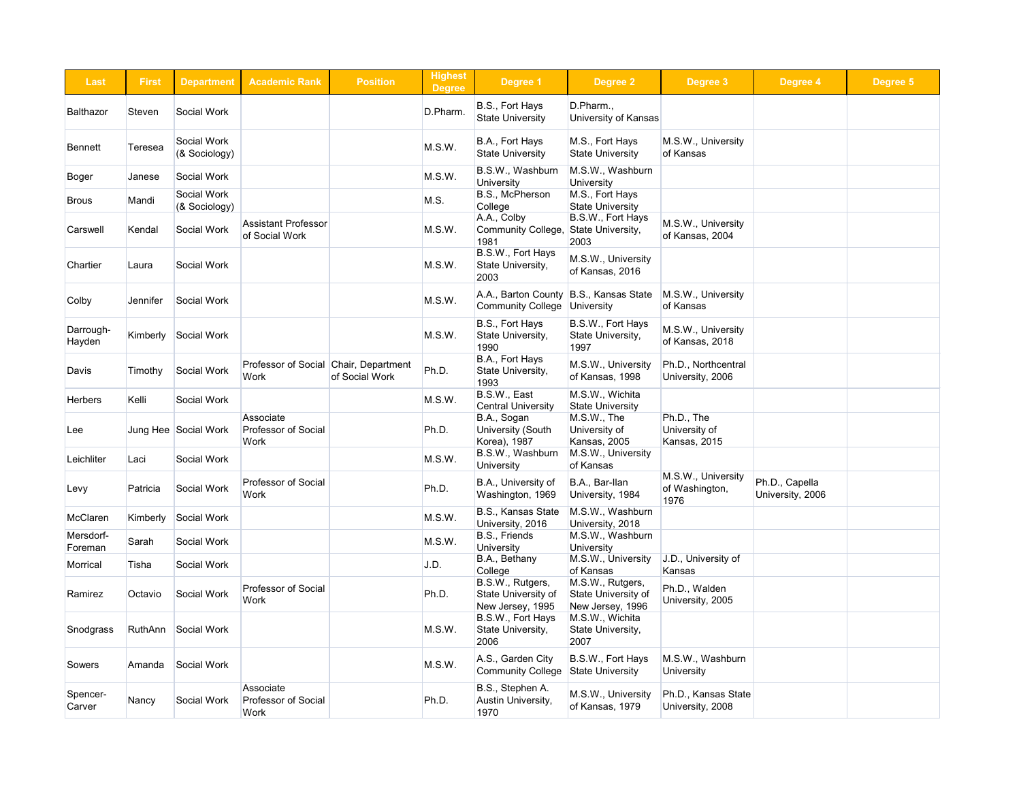| Last                 | <b>First</b> | <b>Department</b>            | <b>Academic Rank</b>                            | <b>Position</b>                                         | <b>Highest</b><br><b>Degree</b> | Degree 1                                                    | <b>Degree 2</b>                                             | Degree 3                                           | Degree 4                           | Degree 5 |
|----------------------|--------------|------------------------------|-------------------------------------------------|---------------------------------------------------------|---------------------------------|-------------------------------------------------------------|-------------------------------------------------------------|----------------------------------------------------|------------------------------------|----------|
| <b>Balthazor</b>     | Steven       | Social Work                  |                                                 |                                                         | D.Pharm.                        | B.S., Fort Hays<br><b>State University</b>                  | D.Pharm.,<br>University of Kansas                           |                                                    |                                    |          |
| <b>Bennett</b>       | Teresea      | Social Work<br>(& Sociology) |                                                 |                                                         | M.S.W.                          | B.A., Fort Hays<br><b>State University</b>                  | M.S., Fort Hays<br><b>State University</b>                  | M.S.W., University<br>of Kansas                    |                                    |          |
| Boger                | Janese       | Social Work                  |                                                 |                                                         | M.S.W.                          | B.S.W., Washburn<br>University                              | M.S.W., Washburn<br>University                              |                                                    |                                    |          |
| <b>Brous</b>         | Mandi        | Social Work<br>(& Sociology) |                                                 |                                                         | M.S.                            | B.S., McPherson<br>College                                  | M.S., Fort Hays<br><b>State University</b>                  |                                                    |                                    |          |
| Carswell             | Kendal       | Social Work                  | <b>Assistant Professor</b><br>of Social Work    |                                                         | M.S.W.                          | A.A., Colby<br><b>Community College,</b><br>1981            | B.S.W., Fort Hays<br>State University,<br>2003              | M.S.W., University<br>of Kansas, 2004              |                                    |          |
| Chartier             | Laura        | Social Work                  |                                                 |                                                         | M.S.W.                          | B.S.W., Fort Hays<br>State University,<br>2003              | M.S.W., University<br>of Kansas, 2016                       |                                                    |                                    |          |
| Colby                | Jennifer     | Social Work                  |                                                 |                                                         | M.S.W.                          | A.A., Barton County<br><b>Community College</b>             | B.S., Kansas State<br>University                            | M.S.W., University<br>of Kansas                    |                                    |          |
| Darrough-<br>Hayden  | Kimberly     | Social Work                  |                                                 |                                                         | M.S.W.                          | B.S., Fort Hays<br>State University,<br>1990                | B.S.W., Fort Hays<br>State University,<br>1997              | M.S.W., University<br>of Kansas, 2018              |                                    |          |
| Davis                | Timothy      | Social Work                  | Work                                            | Professor of Social Chair, Department<br>of Social Work | Ph.D.                           | B.A., Fort Hays<br>State University,<br>1993                | M.S.W., University<br>of Kansas, 1998                       | Ph.D., Northcentral<br>University, 2006            |                                    |          |
| <b>Herbers</b>       | Kelli        | Social Work                  |                                                 |                                                         | M.S.W.                          | B.S.W., East<br><b>Central University</b>                   | M.S.W., Wichita<br><b>State University</b>                  |                                                    |                                    |          |
| Lee                  |              |                              | Associate<br>Professor of Social<br>Work        |                                                         | Ph.D.                           | B.A., Sogan<br>University (South<br>Korea), 1987            | $M.S.W.,$ The<br>University of<br>Kansas, 2005              | Ph.D., The<br>University of<br><b>Kansas, 2015</b> |                                    |          |
| Leichliter           | Laci         | Social Work                  |                                                 |                                                         | M.S.W.                          | B.S.W., Washburn<br><b>University</b>                       | M.S.W., University<br>of Kansas                             |                                                    |                                    |          |
| Levy                 | Patricia     | Social Work                  | Professor of Social<br><b>Work</b>              |                                                         | Ph.D.                           | B.A., University of<br>Washington, 1969                     | B.A., Bar-Ilan<br>University, 1984                          | M.S.W., University<br>of Washington,<br>1976       | Ph.D., Capella<br>University, 2006 |          |
| McClaren             | Kimberly     | Social Work                  |                                                 |                                                         | M.S.W.                          | B.S., Kansas State<br>University, 2016                      | M.S.W., Washburn<br>University, 2018                        |                                                    |                                    |          |
| Mersdorf-<br>Foreman | Sarah        | Social Work                  |                                                 |                                                         | M.S.W.                          | B.S., Friends<br>University                                 | M.S.W., Washburn<br><b>University</b>                       |                                                    |                                    |          |
| Morrical             | Tisha        | Social Work                  |                                                 |                                                         | J.D.                            | B.A., Bethany<br>College                                    | M.S.W., University<br>of Kansas                             | J.D., University of<br>Kansas                      |                                    |          |
| Ramirez              | Octavio      | Social Work                  | Professor of Social<br>Work                     |                                                         | Ph.D.                           | B.S.W., Rutgers,<br>State University of<br>New Jersey, 1995 | M.S.W., Rutgers,<br>State University of<br>New Jersey, 1996 | Ph.D., Walden<br>University, 2005                  |                                    |          |
| Snodgrass            |              | RuthAnn Social Work          |                                                 |                                                         | M.S.W.                          | B.S.W., Fort Hays<br>State University,<br>2006              | M.S.W., Wichita<br>State University,<br>2007                |                                                    |                                    |          |
| Sowers               | Amanda       | Social Work                  |                                                 |                                                         | M.S.W.                          | A.S., Garden City<br><b>Community College</b>               | B.S.W., Fort Hays<br><b>State University</b>                | M.S.W., Washburn<br>University                     |                                    |          |
| Spencer-<br>Carver   | Nancy        | Social Work                  | Associate<br><b>Professor of Social</b><br>Work |                                                         | Ph.D.                           | B.S., Stephen A.<br>Austin University,<br>1970              | M.S.W., University<br>of Kansas, 1979                       | Ph.D., Kansas State<br>University, 2008            |                                    |          |